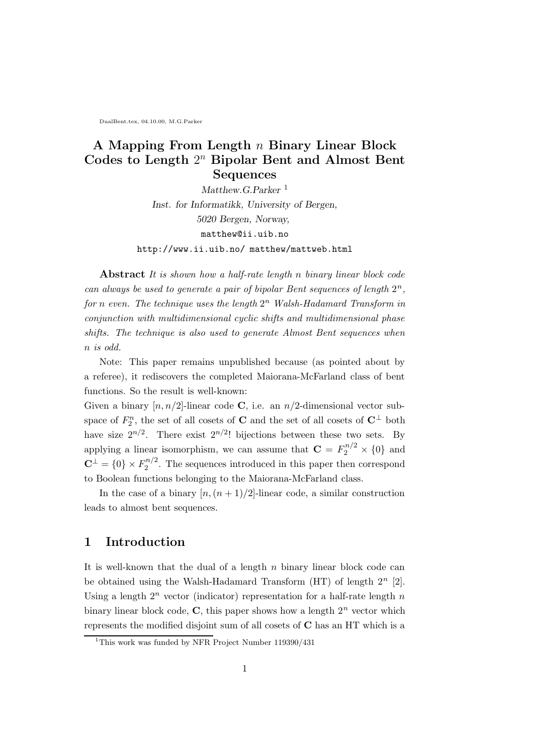DualBent.tex, 04.10.00, M.G.Parker

## A Mapping From Length n Binary Linear Block Codes to Length  $2^n$  Bipolar Bent and Almost Bent Sequences

Matthew.G.Parker<sup>1</sup> Inst. for Informatikk, University of Bergen, 5020 Bergen, Norway, matthew@ii.uib.no http://www.ii.uib.no/ matthew/mattweb.html

Abstract It is shown how a half-rate length n binary linear block code can always be used to generate a pair of bipolar Bent sequences of length  $2^n$ , for n even. The technique uses the length  $2^n$  Walsh-Hadamard Transform in conjunction with multidimensional cyclic shifts and multidimensional phase shifts. The technique is also used to generate Almost Bent sequences when n is odd.

Note: This paper remains unpublished because (as pointed about by a referee), it rediscovers the completed Maiorana-McFarland class of bent functions. So the result is well-known:

Given a binary  $[n, n/2]$ -linear code C, i.e. an  $n/2$ -dimensional vector subspace of  $F_2^n$ , the set of all cosets of **C** and the set of all cosets of  $C^{\perp}$  both have size  $2^{n/2}$ . There exist  $2^{n/2}$ ! bijections between these two sets. By applying a linear isomorphism, we can assume that  $\mathbf{C} = F_2^{n/2} \times \{0\}$  and  $\mathbf{C}^{\perp}=\{0\}\times F_2^{n/2}$  $2^{n/2}$ . The sequences introduced in this paper then correspond to Boolean functions belonging to the Maiorana-McFarland class.

In the case of a binary  $\lfloor n,(n+1)/2\rfloor$ -linear code, a similar construction leads to almost bent sequences.

### 1 Introduction

It is well-known that the dual of a length  $n$  binary linear block code can be obtained using the Walsh-Hadamard Transform  $(HT)$  of length  $2<sup>n</sup>$  [2]. Using a length  $2^n$  vector (indicator) representation for a half-rate length  $n$ binary linear block code,  $C$ , this paper shows how a length  $2<sup>n</sup>$  vector which represents the modified disjoint sum of all cosets of C has an HT which is a

<sup>&</sup>lt;sup>1</sup>This work was funded by NFR Project Number 119390/431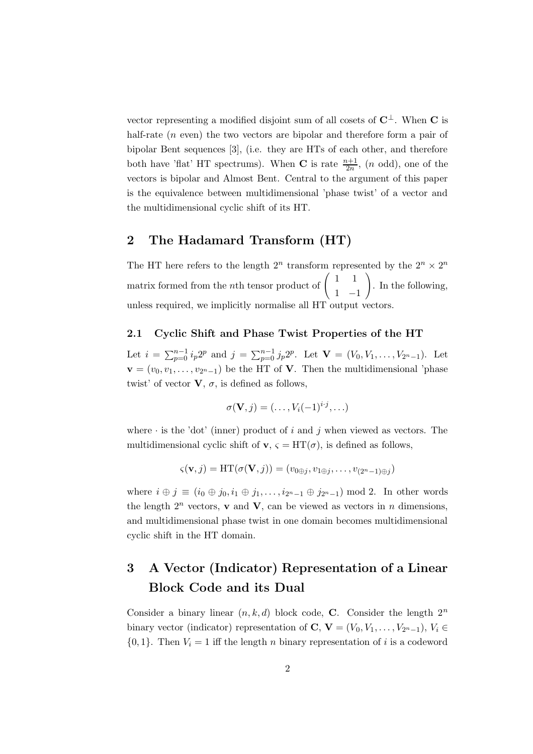vector representing a modified disjoint sum of all cosets of  $\mathbb{C}^{\perp}$ . When  $\mathbb{C}$  is half-rate (*n* even) the two vectors are bipolar and therefore form a pair of bipolar Bent sequences [3], (i.e. they are HTs of each other, and therefore both have 'flat' HT spectrums). When **C** is rate  $\frac{n+1}{2n}$ , (*n* odd), one of the vectors is bipolar and Almost Bent. Central to the argument of this paper is the equivalence between multidimensional 'phase twist' of a vector and the multidimensional cyclic shift of its HT.

## 2 The Hadamard Transform (HT)

The HT here refers to the length  $2^n$  transform represented by the  $2^n \times 2^n$ matrix formed from the *n*th tensor product of  $\begin{pmatrix} 1 & 1 \\ 1 & 1 \end{pmatrix}$ 1 −1  $\setminus$ . In the following, unless required, we implicitly normalise all HT output vectors.

#### 2.1 Cyclic Shift and Phase Twist Properties of the HT

Let  $i = \sum_{p=0}^{n-1} i_p 2^p$  and  $j = \sum_{p=0}^{n-1} j_p 2^p$ . Let  $\mathbf{V} = (V_0, V_1, \dots, V_{2^n-1})$ . Let  $\mathbf{v} = (v_0, v_1, \dots, v_{2^{n}-1})$  be the HT of **V**. Then the multidimensional 'phase twist' of vector  $V, \sigma$ , is defined as follows,

$$
\sigma(\mathbf{V},j) = (\ldots,V_i(-1)^{i\cdot j},\ldots)
$$

where  $\cdot$  is the 'dot' (inner) product of i and j when viewed as vectors. The multidimensional cyclic shift of  $\mathbf{v}, \varsigma = HT(\sigma)$ , is defined as follows,

$$
\varsigma(\mathbf{v},j) = \mathrm{HT}(\sigma(\mathbf{V},j)) = (v_{0\oplus j}, v_{1\oplus j}, \dots, v_{(2^n-1)\oplus j})
$$

where  $i \oplus j \equiv (i_0 \oplus j_0, i_1 \oplus j_1, \ldots, i_{2^n-1} \oplus j_{2^n-1}) \mod 2$ . In other words the length  $2^n$  vectors, **v** and **V**, can be viewed as vectors in *n* dimensions, and multidimensional phase twist in one domain becomes multidimensional cyclic shift in the HT domain.

# 3 A Vector (Indicator) Representation of a Linear Block Code and its Dual

Consider a binary linear  $(n, k, d)$  block code, C. Consider the length  $2^n$ binary vector (indicator) representation of  $\mathbf{C}, \mathbf{V} = (V_0, V_1, \ldots, V_{2^{n}-1}), V_i \in$  $\{0, 1\}$ . Then  $V_i = 1$  iff the length n binary representation of i is a codeword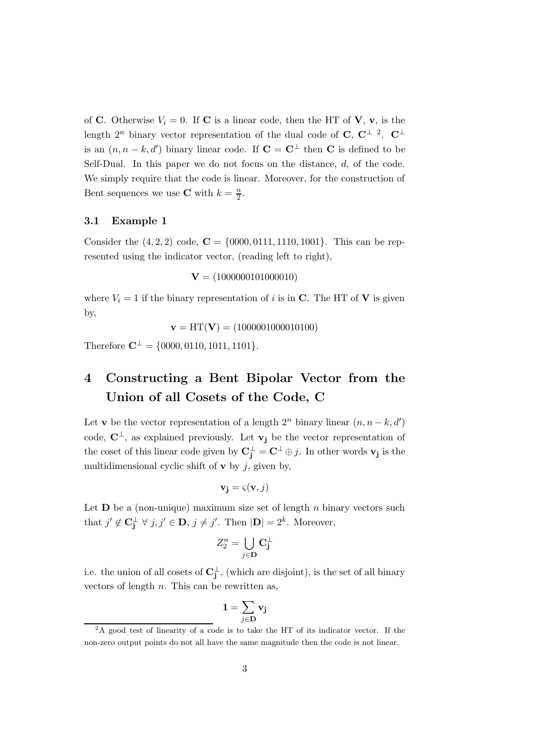of C. Otherwise  $V_i = 0$ . If C is a linear code, then the HT of V, v, is the length  $2^n$  binary vector representation of the dual code of C, C<sup> $\perp$ </sup> <sup>2</sup>. C<sup> $\perp$ </sup> is an  $(n, n - k, d')$  binary linear code. If  $\mathbf{C} = \mathbf{C}^{\perp}$  then  $\mathbf{C}$  is defined to be Self-Dual. In this paper we do not focus on the distance, d, of the code. We simply require that the code is linear. Moreover, for the construction of Bent sequences we use **C** with  $k = \frac{n}{2}$ .

#### 3.1 Example 1

Consider the  $(4, 2, 2)$  code,  $C = \{0000, 0111, 1110, 1001\}$ . This can be represented using the indicator vector, (reading left to right),

$$
V = (1000000101000010)
$$

where  $V_i = 1$  if the binary representation of i is in C. The HT of V is given by,

$$
\mathbf{v} = HT(\mathbf{V}) = (1000001000010100)
$$

Therefore  $\mathbf{C}^{\perp} = \{0000, 0110, 1011, 1101\}.$ 

# 4 Constructing a Bent Bipolar Vector from the Union of all Cosets of the Code, C

Let **v** be the vector representation of a length  $2^n$  binary linear  $(n, n - k, d')$ code,  $\mathbf{C}^{\perp}$ , as explained previously. Let  $\mathbf{v}_i$  be the vector representation of the coset of this linear code given by  $\mathbf{C}_{\mathbf{j}}^{\perp} = \mathbf{C}^{\perp} \oplus j$ . In other words  $\mathbf{v}_{\mathbf{j}}$  is the multidimensional cyclic shift of  $\bf{v}$  by j, given by,

$$
\mathbf{v_j} = \varsigma(\mathbf{v}, j)
$$

Let  **be a (non-unique) maximum size set of length n binary vectors such** that  $j' \notin \mathbf{C}_j^{\perp} \ \forall \ j, j' \in \mathbf{D}, \ j \neq j'.$  Then  $|\mathbf{D}| = 2^k$ . Moreover,

$$
Z_2^n = \bigcup_{j \in \mathbf{D}} \mathbf{C}_\mathbf{j}^\perp
$$

i.e. the union of all cosets of  $\mathbf{C_j^{\perp}}$ , (which are disjoint), is the set of all binary vectors of length  $n$ . This can be rewritten as,

$$
\mathbf{1}=\sum_{j\in \mathbf{D}}\mathbf{v}_j
$$

<sup>&</sup>lt;sup>2</sup>A good test of linearity of a code is to take the HT of its indicator vector. If the non-zero output points do not all have the same magnitude then the code is not linear.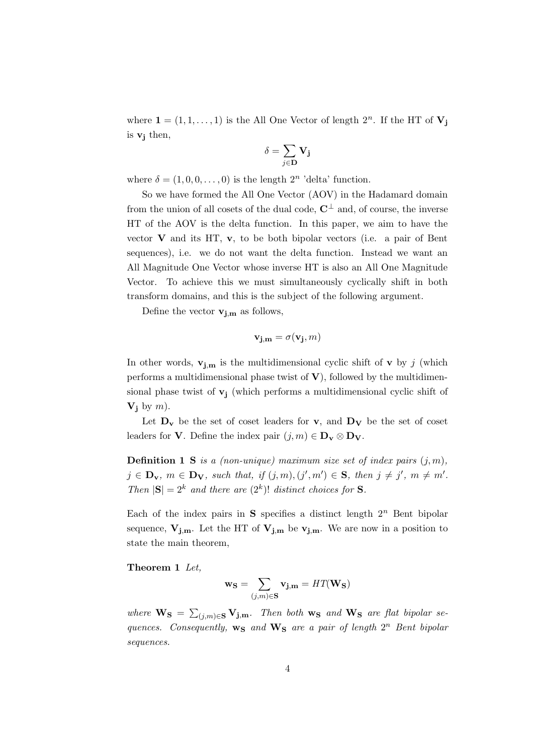where  $\mathbf{1} = (1, 1, \dots, 1)$  is the All One Vector of length  $2^n$ . If the HT of  $V_j$ is  $v_i$  then,

$$
\delta = \sum_{j \in \mathbf{D}} \mathbf{V_j}
$$

where  $\delta = (1, 0, 0, \dots, 0)$  is the length  $2^n$  'delta' function.

So we have formed the All One Vector (AOV) in the Hadamard domain from the union of all cosets of the dual code,  $\mathbb{C}^{\perp}$  and, of course, the inverse HT of the AOV is the delta function. In this paper, we aim to have the vector  $V$  and its HT,  $v$ , to be both bipolar vectors (i.e. a pair of Bent sequences), i.e. we do not want the delta function. Instead we want an All Magnitude One Vector whose inverse HT is also an All One Magnitude Vector. To achieve this we must simultaneously cyclically shift in both transform domains, and this is the subject of the following argument.

Define the vector  $\mathbf{v}_{\mathbf{j},\mathbf{m}}$  as follows,

$$
\mathbf{v_{j,m}}=\sigma(\mathbf{v_j},m)
$$

In other words,  $\mathbf{v}_{j,m}$  is the multidimensional cyclic shift of **v** by j (which performs a multidimensional phase twist of  $V$ ), followed by the multidimensional phase twist of  $v_j$  (which performs a multidimensional cyclic shift of  $V_i$  by m).

Let  $D_v$  be the set of coset leaders for v, and  $D_v$  be the set of coset leaders for **V**. Define the index pair  $(j, m) \in D_v \otimes D_v$ .

**Definition 1 S** is a (non-unique) maximum size set of index pairs  $(j, m)$ ,  $j \in \mathbf{D}_{\mathbf{v}}, m \in \mathbf{D}_{\mathbf{V}}, \text{ such that, if } (j,m), (j',m') \in \mathbf{S}, \text{ then } j \neq j', m \neq m'.$ Then  $|\mathbf{S}| = 2^k$  and there are  $(2^k)!$  distinct choices for **S**.

Each of the index pairs in S specifies a distinct length  $2^n$  Bent bipolar sequence,  $V_{j,m}$ . Let the HT of  $V_{j,m}$  be  $v_{j,m}$ . We are now in a position to state the main theorem,

Theorem 1 Let,

$$
\mathbf{w}_\mathbf{S} = \sum_{(j,m)\in \mathbf{S}} \mathbf{v}_{\mathbf{j},\mathbf{m}} = HT(\mathbf{W}_\mathbf{S})
$$

where  $\mathbf{W}_{S} = \sum_{(j,m)\in S} \mathbf{V_{j,m}}$ . Then both  $\mathbf{w_{S}}$  and  $\mathbf{W_{S}}$  are flat bipolar sequences. Consequently,  $w_S$  and  $W_S$  are a pair of length  $2^n$  Bent bipolar sequences.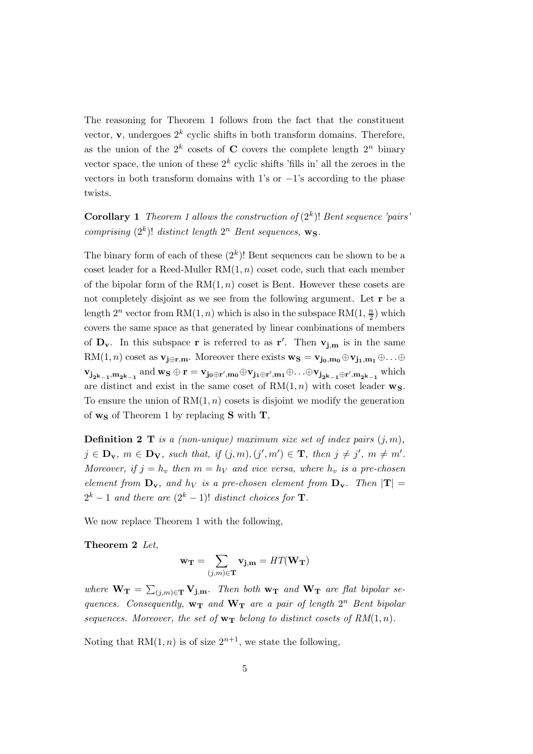The reasoning for Theorem 1 follows from the fact that the constituent vector,  $\mathbf{v}$ , undergoes  $2^k$  cyclic shifts in both transform domains. Therefore, as the union of the  $2^k$  cosets of C covers the complete length  $2^n$  binary vector space, the union of these  $2^k$  cyclic shifts 'fills in' all the zeroes in the vectors in both transform domains with 1's or  $-1$ 's according to the phase twists.

**Corollary 1** Theorem 1 allows the construction of  $(2<sup>k</sup>)!$  Bent sequence 'pairs' comprising  $(2^k)!$  distinct length  $2^n$  Bent sequences,  $\mathbf{w}_\mathbf{S}$ .

The binary form of each of these  $(2<sup>k</sup>)!$  Bent sequences can be shown to be a coset leader for a Reed-Muller  $RM(1, n)$  coset code, such that each member of the bipolar form of the  $RM(1, n)$  coset is Bent. However these cosets are not completely disjoint as we see from the following argument. Let r be a length  $2^n$  vector from RM $(1, n)$  which is also in the subspace RM $(1, \frac{n}{2})$  $\frac{n}{2}$ ) which covers the same space as that generated by linear combinations of members of  $D_v$ . In this subspace **r** is referred to as **r'**. Then  $v_{j,m}$  is in the same RM $(1, n)$  coset as  $\mathbf{v}_{j \oplus r,m}$ . Moreover there exists  $\mathbf{w}_s = \mathbf{v}_{j_0,m_0} \oplus \mathbf{v}_{j_1,m_1} \oplus \ldots \oplus$  $v_{j_{2^k-1},m_{2^k-1}}$  and  $w_S \oplus r = v_{j_0 \oplus r',m_0} \oplus v_{j_1 \oplus r',m_1} \oplus \ldots \oplus v_{j_{2^k-1} \oplus r',m_{2^k-1}}$  which are distinct and exist in the same coset of  $RM(1, n)$  with coset leader  $w_S$ . To ensure the union of  $RM(1, n)$  cosets is disjoint we modify the generation of  $\mathbf{w}_{\mathbf{S}}$  of Theorem 1 by replacing **S** with **T**,

**Definition 2 T** is a (non-unique) maximum size set of index pairs  $(i, m)$ ,  $j \in \mathbf{D}_{\mathbf{v}}, m \in \mathbf{D}_{\mathbf{V}}, \text{ such that, if } (j,m), (j',m') \in \mathbf{T}, \text{ then } j \neq j', m \neq m'.$ Moreover, if  $j = h_v$  then  $m = h_v$  and vice versa, where  $h_v$  is a pre-chosen element from  $\mathbf{D}_{\mathbf{v}}$ , and  $h_V$  is a pre-chosen element from  $\mathbf{D}_{\mathbf{v}}$ . Then  $|\mathbf{T}| =$  $2^k - 1$  and there are  $(2^k - 1)!$  distinct choices for **T**.

We now replace Theorem 1 with the following,

Theorem 2 Let,

$$
\mathbf{w_T} = \sum_{(j,m)\in \mathbf{T}} \mathbf{v_{j,m}} = HT(\mathbf{W_T})
$$

where  $W_{\textbf{T}} = \sum_{(j,m) \in \textbf{T}} V_{\textbf{j},m}$ . Then both  $w_{\textbf{T}}$  and  $W_{\textbf{T}}$  are flat bipolar sequences. Consequently,  $w_T$  and  $W_T$  are a pair of length  $2^n$  Bent bipolar sequences. Moreover, the set of  $w_T$  belong to distinct cosets of  $RM(1, n)$ .

Noting that  $RM(1, n)$  is of size  $2^{n+1}$ , we state the following,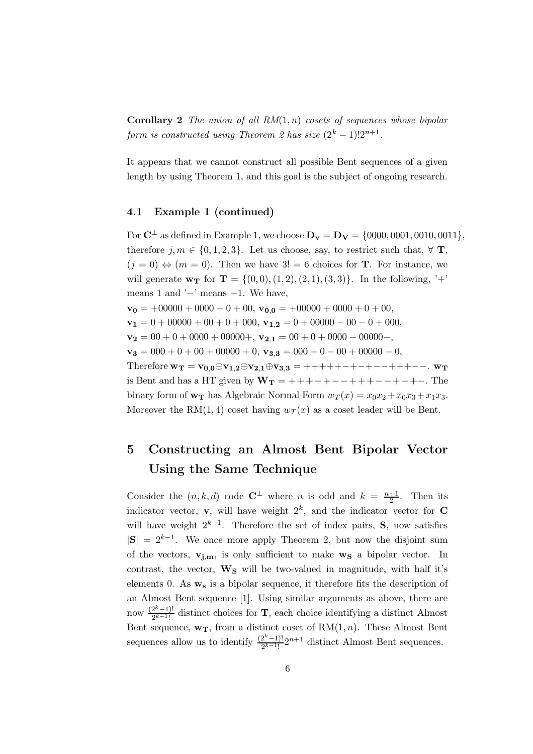**Corollary 2** The union of all  $RM(1, n)$  cosets of sequences whose bipolar form is constructed using Theorem 2 has size  $(2^k - 1)!2^{n+1}$ .

It appears that we cannot construct all possible Bent sequences of a given length by using Theorem 1, and this goal is the subject of ongoing research.

### 4.1 Example 1 (continued)

For  $C^{\perp}$  as defined in Example 1, we choose  $D_{v} = D_{V} = \{0000, 0001, 0010, 0011\},\$ therefore  $j, m \in \{0, 1, 2, 3\}$ . Let us choose, say, to restrict such that,  $\forall$  T,  $(j = 0) \Leftrightarrow (m = 0)$ . Then we have  $3! = 6$  choices for **T**. For instance, we will generate  $w_T$  for  $T = \{(0,0), (1, 2), (2, 1), (3, 3)\}.$  In the following, '+' means 1 and  $\prime$ −' means −1. We have,  $\mathbf{v_0} = +00000 + 0000 + 0 + 00$ ,  $\mathbf{v_{0,0}} = +00000 + 0000 + 0 + 00$ ,  $\mathbf{v_1} = 0 + 00000 + 00 + 0 + 000$ ,  $\mathbf{v_{1,2}} = 0 + 00000 - 00 - 0 + 000$ ,  $\mathbf{v_2} = 00 + 0 + 0000 + 00000 +$ ,  $\mathbf{v_{2,1}} = 00 + 0 + 0000 - 00000 -$ ,  $\mathbf{v_3} = 000 + 0 + 00 + 00000 + 0$ ,  $\mathbf{v_{3,3}} = 000 + 0 - 00 + 00000 - 0$ , Therefore  $w_T = v_{0,0} \oplus v_{1,2} \oplus v_{2,1} \oplus v_{3,3} = +++++-+--+++--$ .  $w_T$ is Bent and has a HT given by  $W_T = +++++++++++++++++$ . The binary form of  $\mathbf{w_T}$  has Algebraic Normal Form  $w_T(x) = x_0x_2 + x_0x_3 + x_1x_3$ . Moreover the RM(1,4) coset having  $w_T(x)$  as a coset leader will be Bent.

# 5 Constructing an Almost Bent Bipolar Vector Using the Same Technique

Consider the  $(n, k, d)$  code  $\mathbb{C}^{\perp}$  where n is odd and  $k = \frac{n+1}{2}$  $\frac{+1}{2}$ . Then its indicator vector, **v**, will have weight  $2^k$ , and the indicator vector for **C** will have weight  $2^{k-1}$ . Therefore the set of index pairs, S, now satisfies  $|S| = 2^{k-1}$ . We once more apply Theorem 2, but now the disjoint sum of the vectors,  $v_{i,m}$ , is only sufficient to make  $w_S$  a bipolar vector. In contrast, the vector,  $\mathbf{W}_\mathbf{S}$  will be two-valued in magnitude, with half it's elements 0. As  $\mathbf{w}_s$  is a bipolar sequence, it therefore fits the description of an Almost Bent sequence [1]. Using similar arguments as above, there are now  $\frac{(2^k-1)!}{2^{k-1}!}$  $\frac{2^{x}-1!}{2^{k-1}!}$  distinct choices for **T**, each choice identifying a distinct Almost Bent sequence,  $\mathbf{w}_\mathbf{T}$ , from a distinct coset of  $RM(1, n)$ . These Almost Bent sequences allow us to identify  $\frac{(2^k-1)!}{2^{k-1}!}2^{n+1}$  distinct Almost Bent sequences.